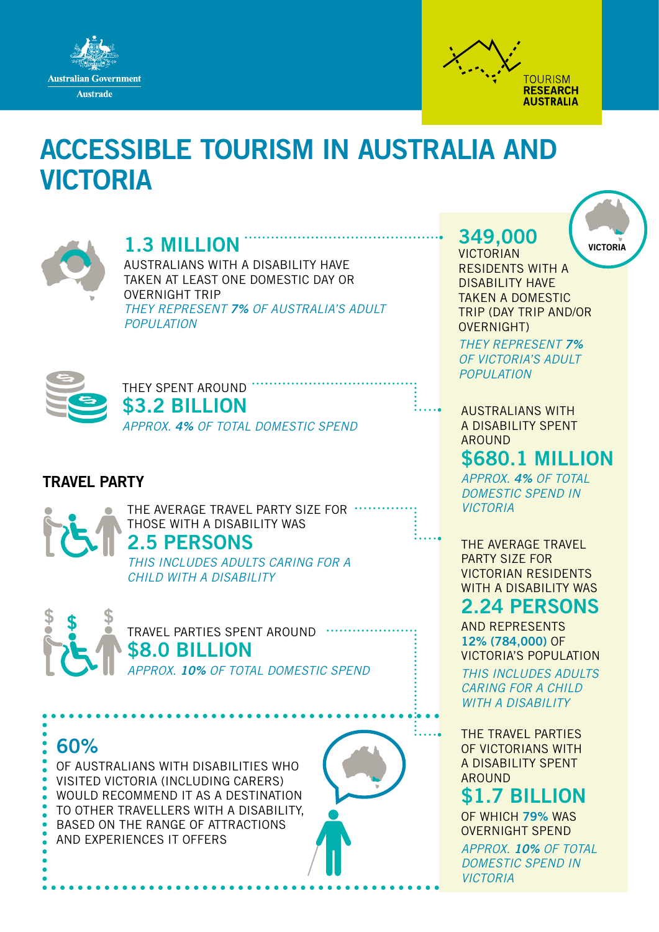



# ACCESSIBLE TOURISM IN AUSTRALIA AND VICTORIA



### 1.3 MILLION

AUSTRALIANS WITH A DISABILITY HAVE TAKEN AT LEAST ONE DOMESTIC DAY OR OVERNIGHT TRIP *THEY REPRESENT 7% OF AUSTRALIA'S ADULT POPULATION*



THEY SPENT AROUND.

\$3.2 BILLION *APPROX. 4% OF TOTAL DOMESTIC SPEND*

#### TRAVEL PARTY

THE AVERAGE TRAVEL PARTY SIZE FOR THOSE WITH A DISABILITY WAS

#### 2.5 PERSONS

*THIS INCLUDES ADULTS CARING FOR A CHILD WITH A DISABILITY*



TRAVEL PARTIES SPENT AROUND \$8.0 BILLION *APPROX. 10% OF TOTAL DOMESTIC SPEND*

60%

OF AUSTRALIANS WITH DISABILITIES WHO VISITED VICTORIA (INCLUDING CARERS) WOULD RECOMMEND IT AS A DESTINATION TO OTHER TRAVELLERS WITH A DISABILITY, BASED ON THE RANGE OF ATTRACTIONS AND EXPERIENCES IT OFFERS



VICTORIAN RESIDENTS WITH A DISABILITY HAVE TAKEN A DOMESTIC TRIP (DAY TRIP AND/OR OVERNIGHT)

*THEY REPRESENT 7% OF VICTORIA'S ADULT POPULATION*

AUSTRALIANS WITH A DISABILITY SPENT AROUND

## \$680.1 MILLION

*APPROX. 4% OF TOTAL DOMESTIC SPEND IN VICTORIA*

THE AVERAGE TRAVEL PARTY SIZE FOR VICTORIAN RESIDENTS WITH A DISABILITY WAS

### 2.24 PERSONS

AND REPRESENTS 12% (784,000) OF VICTORIA'S POPULATION *THIS INCLUDES ADULTS CARING FOR A CHILD WITH A DISABILITY*

THE TRAVEL PARTIES OF VICTORIANS WITH A DISABILITY SPENT AROUND

\$1.7 BILLION OF WHICH 79% WAS OVERNIGHT SPEND *APPROX. 10% OF TOTAL DOMESTIC SPEND IN VICTORIA*